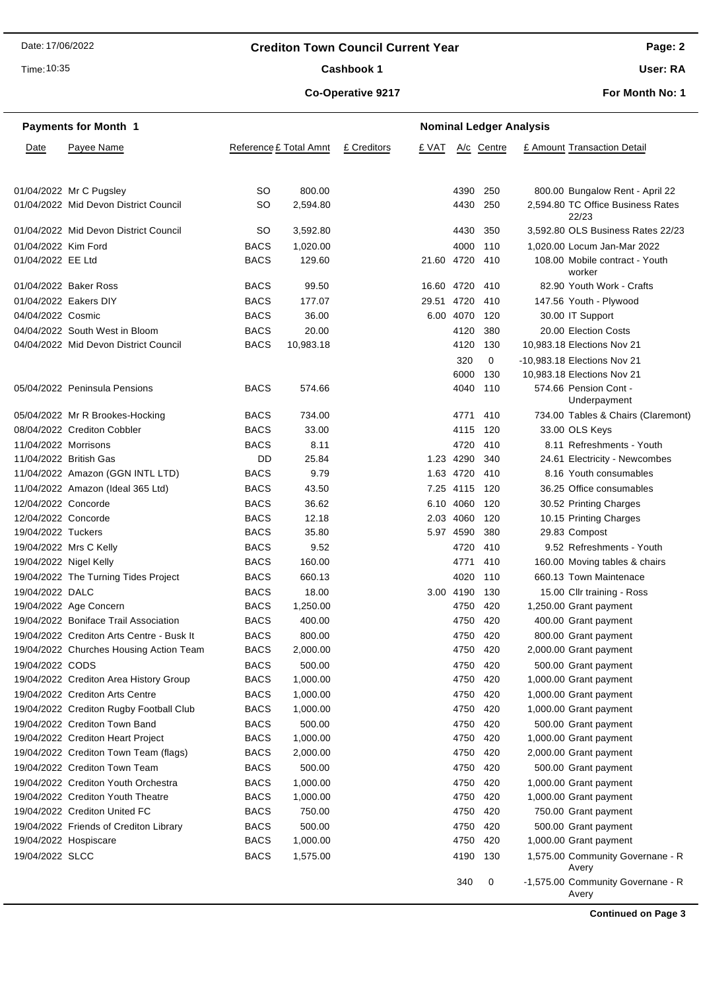# **Crediton Town Council Current Year**

Time: 10:35

 $\overline{\phantom{0}}$ 

## Cashbook 1

# **Co-Operative 9217**

**User: RA**

**For Month No: 1**

|                        | <b>Payments for Month 1</b>               | <b>Nominal Ledger Analysis</b> |                        |             |            |           |            |  |                                            |
|------------------------|-------------------------------------------|--------------------------------|------------------------|-------------|------------|-----------|------------|--|--------------------------------------------|
| Date                   | Payee Name                                |                                | Reference £ Total Amnt | £ Creditors | £ VAT      |           | A/c Centre |  | £ Amount Transaction Detail                |
|                        | 01/04/2022 Mr C Pugsley                   | SO                             | 800.00                 |             |            | 4390      | - 250      |  | 800.00 Bungalow Rent - April 22            |
|                        | 01/04/2022 Mid Devon District Council     | SO                             | 2,594.80               |             |            |           | 4430 250   |  | 2,594.80 TC Office Business Rates<br>22/23 |
|                        | 01/04/2022 Mid Devon District Council     | SO                             | 3,592.80               |             |            | 4430      | 350        |  | 3,592.80 OLS Business Rates 22/23          |
| 01/04/2022 Kim Ford    |                                           | <b>BACS</b>                    | 1,020.00               |             |            | 4000      | 110        |  | 1,020.00 Locum Jan-Mar 2022                |
| 01/04/2022 EE Ltd      |                                           | <b>BACS</b>                    | 129.60                 |             | 21.60      | 4720      | 410        |  | 108.00 Mobile contract - Youth<br>worker   |
|                        | 01/04/2022 Baker Ross                     | <b>BACS</b>                    | 99.50                  |             | 16.60 4720 |           | 410        |  | 82.90 Youth Work - Crafts                  |
|                        | 01/04/2022 Eakers DIY                     | <b>BACS</b>                    | 177.07                 |             | 29.51      | 4720      | 410        |  | 147.56 Youth - Plywood                     |
| 04/04/2022 Cosmic      |                                           | <b>BACS</b>                    | 36.00                  |             |            | 6.00 4070 | 120        |  | 30.00 IT Support                           |
|                        | 04/04/2022 South West in Bloom            | <b>BACS</b>                    | 20.00                  |             |            | 4120      | 380        |  | 20.00 Election Costs                       |
|                        | 04/04/2022 Mid Devon District Council     | <b>BACS</b>                    | 10,983.18              |             |            | 4120      | 130        |  | 10,983.18 Elections Nov 21                 |
|                        |                                           |                                |                        |             |            | 320       | 0          |  | -10,983.18 Elections Nov 21                |
|                        |                                           |                                |                        |             |            | 6000      | 130        |  | 10,983.18 Elections Nov 21                 |
|                        | 05/04/2022 Peninsula Pensions             | <b>BACS</b>                    | 574.66                 |             |            | 4040      | 110        |  | 574.66 Pension Cont -<br>Underpayment      |
|                        | 05/04/2022 Mr R Brookes-Hocking           | <b>BACS</b>                    | 734.00                 |             |            | 4771      | 410        |  | 734.00 Tables & Chairs (Claremont)         |
|                        | 08/04/2022 Crediton Cobbler               | <b>BACS</b>                    | 33.00                  |             |            | 4115      | 120        |  | 33.00 OLS Keys                             |
| 11/04/2022 Morrisons   |                                           | <b>BACS</b>                    | 8.11                   |             |            | 4720      | 410        |  | 8.11 Refreshments - Youth                  |
|                        | 11/04/2022 British Gas                    | DD                             | 25.84                  |             |            | 1.23 4290 | 340        |  | 24.61 Electricity - Newcombes              |
|                        | 11/04/2022 Amazon (GGN INTL LTD)          | <b>BACS</b>                    | 9.79                   |             |            | 1.63 4720 | 410        |  | 8.16 Youth consumables                     |
|                        | 11/04/2022 Amazon (Ideal 365 Ltd)         | <b>BACS</b>                    | 43.50                  |             |            | 7.25 4115 | 120        |  | 36.25 Office consumables                   |
| 12/04/2022 Concorde    |                                           | <b>BACS</b>                    | 36.62                  |             | 6.10       | 4060      | 120        |  | 30.52 Printing Charges                     |
| 12/04/2022 Concorde    |                                           | <b>BACS</b>                    | 12.18                  |             |            | 2.03 4060 | 120        |  | 10.15 Printing Charges                     |
| 19/04/2022 Tuckers     |                                           | <b>BACS</b>                    | 35.80                  |             |            | 5.97 4590 | 380        |  | 29.83 Compost                              |
|                        | 19/04/2022 Mrs C Kelly                    | <b>BACS</b>                    | 9.52                   |             |            | 4720      | 410        |  | 9.52 Refreshments - Youth                  |
| 19/04/2022 Nigel Kelly |                                           | <b>BACS</b>                    | 160.00                 |             |            | 4771      | 410        |  | 160.00 Moving tables & chairs              |
|                        | 19/04/2022 The Turning Tides Project      | <b>BACS</b>                    | 660.13                 |             |            | 4020      | 110        |  | 660.13 Town Maintenace                     |
| 19/04/2022 DALC        |                                           | <b>BACS</b>                    | 18.00                  |             |            | 3.00 4190 | 130        |  | 15.00 Cllr training - Ross                 |
|                        | 19/04/2022 Age Concern                    | <b>BACS</b>                    | 1,250.00               |             |            | 4750      | 420        |  | 1,250.00 Grant payment                     |
|                        | 19/04/2022 Boniface Trail Association     | <b>BACS</b>                    | 400.00                 |             |            | 4750      | 420        |  | 400.00 Grant payment                       |
|                        | 19/04/2022 Crediton Arts Centre - Busk It | <b>BACS</b>                    | 800.00                 |             |            |           | 4750 420   |  | 800.00 Grant payment                       |
|                        | 19/04/2022 Churches Housing Action Team   | <b>BACS</b>                    | 2,000.00               |             |            | 4750      | 420        |  | 2,000.00 Grant payment                     |
| 19/04/2022 CODS        |                                           | <b>BACS</b>                    | 500.00                 |             |            | 4750      | 420        |  | 500.00 Grant payment                       |
|                        | 19/04/2022 Crediton Area History Group    | <b>BACS</b>                    | 1,000.00               |             |            | 4750      | 420        |  | 1,000.00 Grant payment                     |
|                        | 19/04/2022 Crediton Arts Centre           | <b>BACS</b>                    | 1,000.00               |             |            | 4750      | 420        |  | 1,000.00 Grant payment                     |
|                        | 19/04/2022 Crediton Rugby Football Club   | <b>BACS</b>                    | 1,000.00               |             |            | 4750      | 420        |  | 1,000.00 Grant payment                     |
|                        | 19/04/2022 Crediton Town Band             | <b>BACS</b>                    | 500.00                 |             |            | 4750      | 420        |  | 500.00 Grant payment                       |
|                        | 19/04/2022 Crediton Heart Project         | <b>BACS</b>                    | 1,000.00               |             |            | 4750      | 420        |  | 1,000.00 Grant payment                     |
|                        | 19/04/2022 Crediton Town Team (flags)     | <b>BACS</b>                    | 2,000.00               |             |            | 4750      | 420        |  | 2,000.00 Grant payment                     |
|                        | 19/04/2022 Crediton Town Team             | <b>BACS</b>                    | 500.00                 |             |            | 4750      | 420        |  | 500.00 Grant payment                       |
|                        | 19/04/2022 Crediton Youth Orchestra       | <b>BACS</b>                    | 1,000.00               |             |            | 4750      | 420        |  | 1,000.00 Grant payment                     |
|                        | 19/04/2022 Crediton Youth Theatre         | <b>BACS</b>                    | 1,000.00               |             |            | 4750      | 420        |  | 1,000.00 Grant payment                     |
|                        | 19/04/2022 Crediton United FC             | <b>BACS</b>                    | 750.00                 |             |            | 4750      | 420        |  | 750.00 Grant payment                       |
|                        | 19/04/2022 Friends of Crediton Library    | <b>BACS</b>                    | 500.00                 |             |            | 4750      | 420        |  | 500.00 Grant payment                       |
|                        | 19/04/2022 Hospiscare                     | <b>BACS</b>                    | 1,000.00               |             |            | 4750      | 420        |  | 1,000.00 Grant payment                     |
| 19/04/2022 SLCC        |                                           | <b>BACS</b>                    | 1,575.00               |             |            | 4190      | 130        |  | 1,575.00 Community Governane - R<br>Avery  |
|                        |                                           |                                |                        |             |            | 340       | 0          |  | -1,575.00 Community Governane - R<br>Avery |

**Continued on Page 3**

**Page: 2**